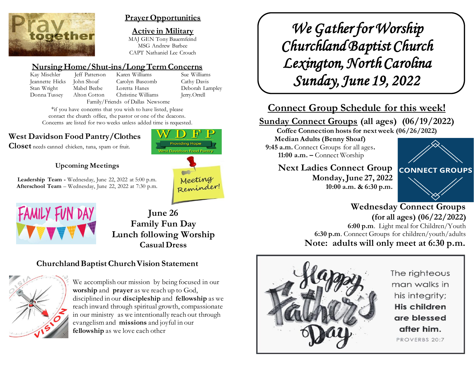

## **Prayer Opportunities**

**Active in Military** MAJ GEN Tony Bauernfeind MSG Andrew Barbee CAPT Nathaniel Lee Crouch

## **Nursing Home/Shut-ins/Long Term Concerns**

Kay Mischler Jeff Patterson Karen Williams Sue Williams Jeannette Hicks John Shoaf Carolyn Bascomb Cathy Davis Stan Wright Mabel Beebe Loretta Hanes Deborah Lampley Donna Tussey Alton Cotton Christine Williams Jerry.Orrell Family/Friends of Dallas Newsome

\*if you have concerns that you wish to have listed, please contact the church office, the pastor or one of the deacons. Concerns are listed for two weeks unless added time is requested.

# **West Davidson Food Pantry/Clothes**

**Closet** needs canned chicken, tuna, spam or fruit.





**Providing Hope** 

**Leadership Team -** Wednesday, June 22, 2022 at 5:00 p.m. **Afterschool Team** – Wednesday, June 22, 2022 at 7:30 p.m.



**June 26 Family Fun Day Lunch following Worship Casual Dress**

# **Churchland Baptist Church Vision Statement**



We accomplish our mission by being focused in our **worship** and **prayer** as we reach up to God, disciplined in our **discipleship** and **fellowship** as we reach inward through spiritual growth, compassionate in our ministry as we intentionally reach out through evangelism and **missions** and joyful in our **fellowship** as we love each other

*We Gather for Worship Churchland Baptist Church Lexington, North Carolina Sunday, June 19, 2022* 

# **Connect Group Schedule for this week!**

# **Sunday Connect Groups (all ages) (06/19/2022)**

**Coffee Connection hosts for next week (06/26/2022)** 

**Median Adults (Benny Shoaf) 9:45 a.m.** Connect Groups for all ages**. 11:00 a.m. –** Connect Worship

> **Next Ladies Connect Group Monday, June 27, 2022 10:00 a.m. & 6:30 p.m.**



## **Wednesday Connect Groups (for all ages) (06/22/2022) 6:00 p.m**. Light meal for Children/Youth **6:30 p.m**. Connect Groups for children/youth/adults **Note: adults will only meet at 6:30 p.m.**



The righteous man walks in his integrity; His children are blessed after him. PROVERBS 20:7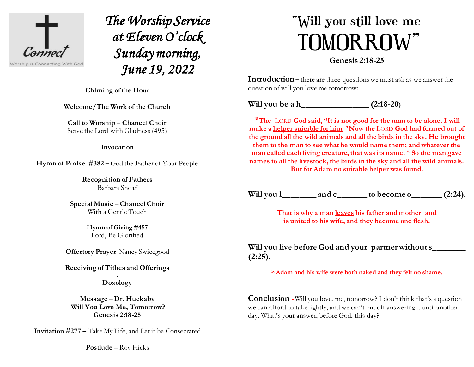

*The Worship Service at Eleven O'clock Sunday morning, June 19, 2022* 

 $\overline{a}$ **Chiming of the Hour**

**Welcome/The Work of the Church**

**Call to Worship – Chancel Choir** Serve the Lord with Gladness (495)

**Invocation**

**Hymn of Praise #382 –** God the Father of Your People

**Recognition of Fathers** Barbara Shoaf

**Special Music – Chancel Choir** With a Gentle Touch

> **Hymn of Giving #457** Lord, Be Glorified

**Offertory Prayer** Nancy Swicegood

**Receiving of Tithes and Offerings** .

**Doxology**

**Message – Dr. Huckaby Will You Love Me, Tomorrow? Genesis 2:18-25**

**Invitation #277 –** Take My Life, and Let it be Consecrated

**Postlude** – Roy Hicks

# "Will you still love me **TOMORROW"**

**Genesis 2:18-25**

**Introduction** – there are three questions we must ask as we answer the question of will you love me tomorrow:

**Will you be a h\_\_\_\_\_\_\_\_\_\_\_\_\_\_\_\_ (2:18-20)**

**<sup>18</sup>The** LORD **God said, "It is not good for the man to be alone. I will make a helper suitable for him <sup>19</sup>Now the** LORD **God had formed out of the ground all the wild animals and all the birds in the sky. He brought them to the man to see what he would name them; and whatever the man called each living creature, that was its name. <sup>20</sup> So the man gave names to all the livestock, the birds in the sky and all the wild animals. But for Adam no suitable helper was found.**

**Will you l\_\_\_\_\_\_\_\_ and c\_\_\_\_\_\_\_ to become o\_\_\_\_\_\_\_ (2:24).**

**That is why a man leaves his father and mother and is united to his wife, and they become one flesh.**

**Will you live before God and your partner without s\_\_\_\_\_\_\_\_ (2:25).**

**<sup>25</sup> Adam and his wife were both naked and they felt no shame.**

**Conclusion -** Will you love, me, tomorrow? I don't think that's a question we can afford to take lightly, and we can't put off answering it until another day. What's your answer, before God, this day?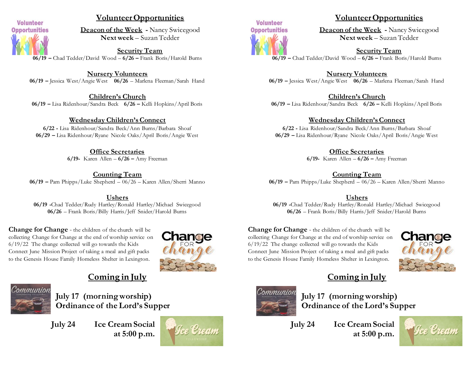

## **Volunteer Opportunities**

**Deacon of the Week -** Nancy Swicegood **Next week** – Suzan Tedder

**Security Team 06/19 –** Chad Tedder/David Wood – **6/26 –** Frank Boris/Harold Burns

**Nursery Volunteers 06/19 –** Jessica West/Angie West **06/26** – Marlena Fleeman/Sarah Hand

**Children's Church 06/19 –** Lisa Ridenhour/Sandra Beck **6/26 –** Kelli Hopkins/April Boris

#### **Wednesday Children's Connect**

**6/22 -** Lisa Ridenhour/Sandra Beck/Ann Burns/Barbara Shoaf **06/29 –** Lisa Ridenhour/Ryane Nicole Oaks/April Boris/Angie West

> **Office Secretaries 6/19-** Karen Allen – **6/26 –** Amy Freeman

**Counting Team 06/19 –** Pam Phipps/Luke Shepherd – 06/26 – Karen Allen/Sherri Manno

**Ushers 06/19 -**Chad Tedder/Rudy Hartley/Ronald Hartley/Michael Swicegood **06/26** – Frank Boris/Billy Harris/Jeff Snider/Harold Burns

**Change for Change** - the children of the church will be collecting Change for Change at the end of worship service on 6/19/22 The change collected will go towards the Kids Connect June Mission Project of taking a meal and gift packs to the Genesis House Family Homeless Shelter in Lexington.



## **Coming in July**



**July 17 (morning worship) Ordinance of the Lord's Supper**

**July 24 Ice Cream Social at 5:00 p.m.**





## **Volunteer Opportunities**

**Deacon of the Week -** Nancy Swicegood **Next week** – Suzan Tedder

**Security Team 06/19 –** Chad Tedder/David Wood – **6/26 –** Frank Boris/Harold Burns

**Nursery Volunteers 06/19 –** Jessica West/Angie West **06/26** – Marlena Fleeman/Sarah Hand

**Children's Church 06/19 –** Lisa Ridenhour/Sandra Beck **6/26 –** Kelli Hopkins/April Boris

**Wednesday Children's Connect**

**6/22 -** Lisa Ridenhour/Sandra Beck/Ann Burns/Barbara Shoaf **06/29 –** Lisa Ridenhour/Ryane Nicole Oaks/April Boris/Angie West

> **Office Secretaries 6/19-** Karen Allen – **6/26 –** Amy Freeman

**Counting Team 06/19 –** Pam Phipps/Luke Shepherd – 06/26 – Karen Allen/Sherri Manno

#### **Ushers**

**06/19 -**Chad Tedder/Rudy Hartley/Ronald Hartley/Michael Swicegood **06/26** – Frank Boris/Billy Harris/Jeff Snider/Harold Burns

**Change for Change** - the children of the church will be collecting Change for Change at the end of worship service on 6/19/22 The change collected will go towards the Kids Connect June Mission Project of taking a meal and gift packs to the Genesis House Family Homeless Shelter in Lexington.



# **Coming in July**



**July 17 (morning worship) Ordinance of the Lord's Supper**

**July 24 Ice Cream Social at 5:00 p.m.**